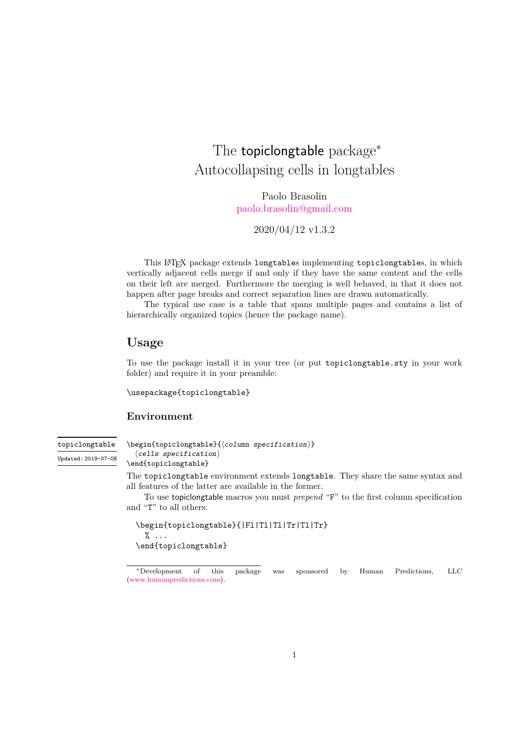## The topiclongtable package<sup>\*</sup> Autocollapsing cells in longtables

Paolo Brasolin [paolo.brasolin@gmail.com](mailto:paolo.brasolin@gmail.com)

2020/04/12 v1.3.2

This LATEX package extends longtables implementing topiclongtables, in which vertically adjacent cells merge if and only if they have the same content and the cells on their left are merged. Furthermore the merging is well behaved, in that it does not happen after page breaks and correct separation lines are drawn automatically.

The typical use case is a table that spans multiple pages and contains a list of hierarchically organized topics (hence the package name).

### **Usage**

To use the package install it in your tree (or put topiclongtable.sty in your work folder) and require it in your preamble:

\usepackage{topiclongtable}

#### **Environment**

<span id="page-0-0"></span>topiclongtable Updated: 2019-07-08  $\begin{equation*} \begin{equation*} \begin{cases} \text{column} = \text{c}{\text{column} = \text{d}{\text{d}} \end{cases} \end{equation*}$  $\langle$ cells specification $\rangle$ 

\end{topiclongtable}

The topiclongtable environment extends longtable. They share the same syntax and all features of the latter are available in the former.

To use topiclongtable macros you must *prepend* "F" to the first column specification and "T" to all others:

```
\begin{topiclongtable}{|Fl|Tl|Tl|Tr|Tl|Tr}
  \% \dots\end{topiclongtable}
```
<sup>∗</sup>Development of this package was sponsored by Human Predictions, LLC [\(www.humanpredictions.com\)](http://www.humanpredictions.com).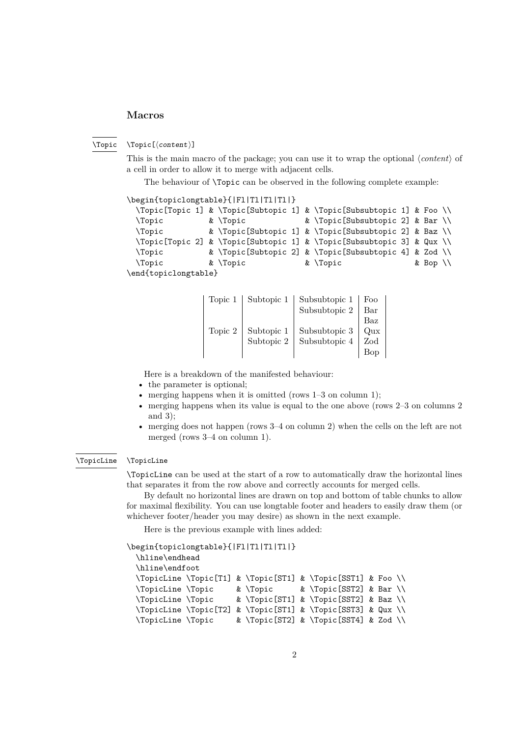#### **Macros**

<span id="page-1-0"></span> $\forall$ Topic[ $\langle content \rangle$ ] \Topic

> This is the main macro of the package; you can use it to wrap the optional *(content)* of a cell in order to allow it to merge with adjacent cells.

The behaviour of **\Topic** can be observed in the following complete example:

```
\begin{topiclongtable}{|Fl|Tl|Tl|Tl|}
 \Topic[Topic 1] & \Topic[Subtopic 1] & \Topic[Subsubtopic 1] & Foo \\
 \Topic & \Topic & \Topic[Subsubtopic 2] & Bar \\
 \Topic & \Topic[Subtopic 1] & \Topic[Subsubtopic 2] & Baz \\
 \Topic[Topic 2] & \Topic[Subtopic 1] & \Topic[Subsubtopic 3] & Qux \\
 \Topic & \Topic[Subtopic 2] & \Topic[Subsubtopic 4] & Zod \\
 \Topic & \Topic & \Topic & \Topic & Bop \\
\end{topiclongtable}
```

| Topic 1 | Subtopic 1     | Subsubtopic 1     | Foo             |
|---------|----------------|-------------------|-----------------|
|         |                | Subsubtopic 2     | Bar             |
|         |                |                   | Baz             |
| Topic 2 | Subtopic $1\,$ | Subsubtopic 3     | $_{\text{Oux}}$ |
|         | Subtopic 2     | Subsubtopic $4\,$ | Zod             |
|         |                |                   |                 |

Here is a breakdown of the manifested behaviour:

- the parameter is optional;
- merging happens when it is omitted (rows 1–3 on column 1);
- merging happens when its value is equal to the one above (rows 2–3 on columns 2) and 3);
- merging does not happen (rows 3–4 on column 2) when the cells on the left are not merged (rows 3–4 on column 1).

#### <span id="page-1-1"></span>\TopicLine \TopicLine

\TopicLine can be used at the start of a row to automatically draw the horizontal lines that separates it from the row above and correctly accounts for merged cells.

By default no horizontal lines are drawn on top and bottom of table chunks to allow for maximal flexibility. You can use longtable footer and headers to easily draw them (or whichever footer/header you may desire) as shown in the next example.

Here is the previous example with lines added:

```
\begin{topiclongtable}{|Fl|Tl|Tl|Tl|}
 \hline\endhead
 \hline\endfoot
 \TopicLine \Topic[T1] & \Topic[ST1] & \Topic[SST1] & Foo \\
 \TopicLine \Topic & \Topic & \Topic[SST2] & Bar \\
 \TopicLine \Topic & \Topic[ST1] & \Topic[SST2] & Baz \\
 \TopicLine \Topic[T2] & \Topic[ST1] & \Topic[SST3] & Qux \\
 \TopicLine \Topic & \Topic[ST2] & \Topic[SST4] & Zod \\
```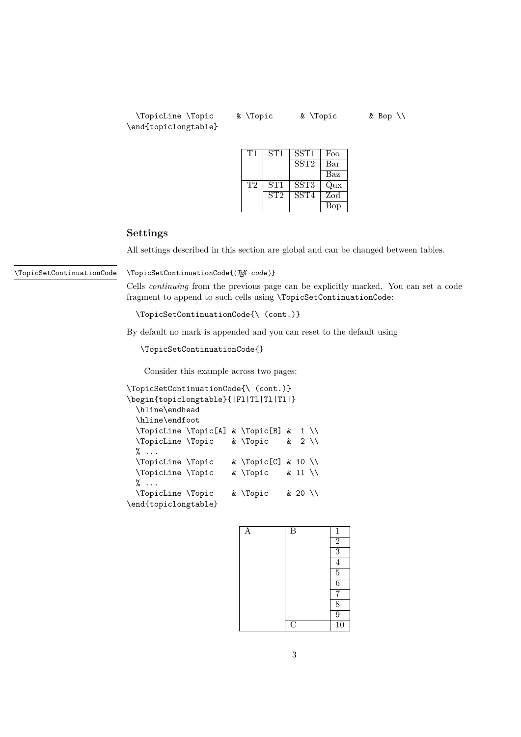\TopicLine \Topic & \Topic & \Topic & Bop \\ \end{topiclongtable}

| Τ1 | ST1 | SST1                            | Foo |
|----|-----|---------------------------------|-----|
|    |     | SST <sub>2</sub>                | Bar |
|    |     |                                 | Baz |
| T2 | ST1 | $\overline{\text{S}}\text{ST}3$ | Qux |
|    | ST2 | SST <sub>4</sub>                | Zod |
|    |     |                                 | Bop |

#### **Settings**

All settings described in this section are global and can be changed between tables.

<span id="page-2-0"></span>\TopicSetContinuationCode

 $\Theta({\text{Tex } code})$ 

Cells *continuing* from the previous page can be explicitly marked. You can set a code fragment to append to such cells using \TopicSetContinuationCode:

\TopicSetContinuationCode{\ (cont.)}

By default no mark is appended and you can reset to the default using

\TopicSetContinuationCode{}

Consider this example across two pages:

```
\TopicSetContinuationCode{\ (cont.)}
\begin{topiclongtable}{|Fl|Tl|Tl|Tl|}
 \hline\endhead
 \hline\endfoot
 \TopicLine \Topic[A] & \Topic[B] & 1 \\
 \TopicLine \Topic & \Topic & 2 \\
 % \ldots\TopicLine \Topic & \Topic[C] & 10 \\
 \TopicLine \Topic & \Topic & 11 \\
 \% \dots\TopicLine \Topic & \Topic & 20 \\
\end{topiclongtable}
```

| A | $\overline{B}$          | $\mathbf{1}$    |
|---|-------------------------|-----------------|
|   |                         | $\overline{2}$  |
|   |                         | $\overline{3}$  |
|   |                         | $\overline{4}$  |
|   |                         | $rac{5}{6}$     |
|   |                         |                 |
|   |                         | $\overline{7}$  |
|   |                         | $\overline{8}$  |
|   |                         | $\overline{9}$  |
|   | $\overline{\mathrm{C}}$ | $\overline{10}$ |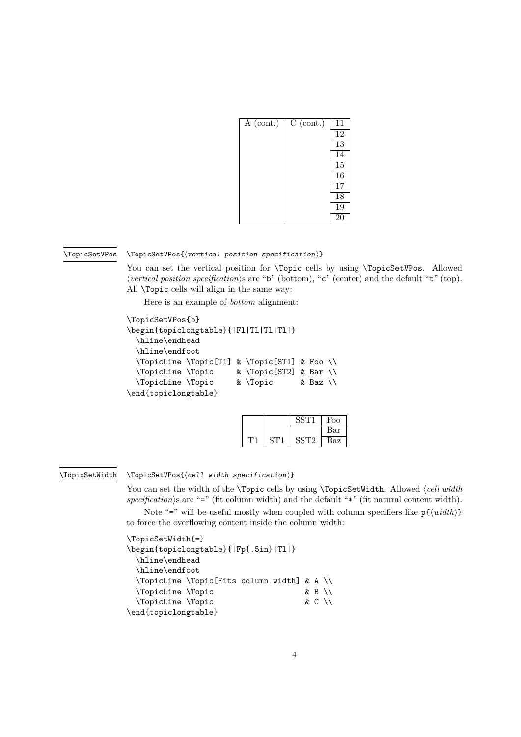| A (cont.) | $C$ (cont.) | 11              |
|-----------|-------------|-----------------|
|           |             | $\overline{12}$ |
|           |             | 13              |
|           |             | $\overline{14}$ |
|           |             | $\overline{15}$ |
|           |             | $\overline{16}$ |
|           |             | $\overline{17}$ |
|           |             | $\overline{18}$ |
|           |             | 19              |
|           |             | $\overline{20}$ |

#### <span id="page-3-0"></span>\TopicSetVPos

#### $\Theta$  \TopicSetVPos{ $\{vertical position specification\}$ }

You can set the vertical position for **\Topic** cells by using **\TopicSetVPos**. Allowed *(vertical position specification*)s are "b" (bottom), "c" (center) and the default "t" (top). All \Topic cells will align in the same way:

Here is an example of *bottom* alignment:

```
\TopicSetVPos{b}
\begin{topiclongtable}{|Fl|Tl|Tl|Tl|}
 \hline\endhead
 \hline\endfoot
 \TopicLine \Topic[T1] & \Topic[ST1] & Foo \\
```

```
\TopicLine \Topic & \Topic[ST2] & Bar \\
\TopicLine \Topic & \Topic & Baz \\
```

```
\end{topiclongtable}
```

|  |       | Foo |
|--|-------|-----|
|  |       | Bar |
|  | SS 12 | Baz |

#### <span id="page-3-1"></span>\TopicSetWidth

 $\Theta$  \TopicSetVPos{ $\{cell width specification\}$ }

You can set the width of the **\Topic** cells by using **\TopicSetWidth**. Allowed  $\langle$  *cell width*  $specification$ )s are "=" (fit column width) and the default " $*$ " (fit natural content width).

Note "=" will be useful mostly when coupled with column specifiers like  $p\{\langle width \rangle\}$ to force the overflowing content inside the column width:

#### \TopicSetWidth{=}

```
\begin{topiclongtable}{|Fp{.5in}|Tl|}
 \hline\endhead
 \hline\endfoot
 \TopicLine \Topic[Fits column width] & A \\
 \TopicLine \Topic & B \\
 \TopicLine \Topic & C \\
\end{topiclongtable}
```